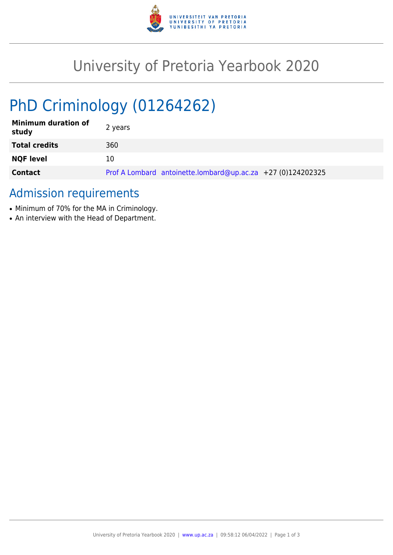

# University of Pretoria Yearbook 2020

# PhD Criminology (01264262)

| <b>Minimum duration of</b><br>study | 2 years                                                     |
|-------------------------------------|-------------------------------------------------------------|
| <b>Total credits</b>                | 360                                                         |
| <b>NQF level</b>                    | 10                                                          |
| <b>Contact</b>                      | Prof A Lombard antoinette.lombard@up.ac.za +27 (0)124202325 |

## Admission requirements

- Minimum of 70% for the MA in Criminology.
- An interview with the Head of Department.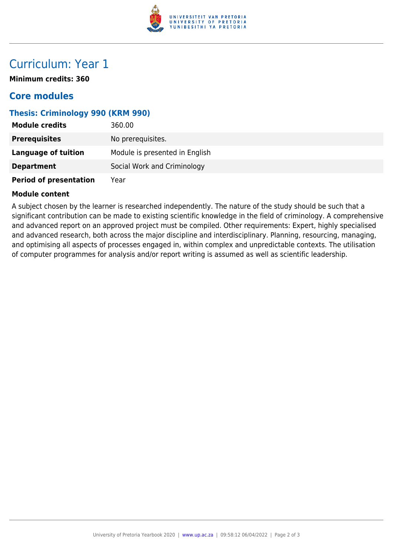

## Curriculum: Year 1

**Minimum credits: 360**

### **Core modules**

#### **Thesis: Criminology 990 (KRM 990)**

| <b>Module credits</b>         | 360.00                         |
|-------------------------------|--------------------------------|
| <b>Prerequisites</b>          | No prerequisites.              |
| <b>Language of tuition</b>    | Module is presented in English |
| <b>Department</b>             | Social Work and Criminology    |
| <b>Period of presentation</b> | Year                           |

#### **Module content**

A subject chosen by the learner is researched independently. The nature of the study should be such that a significant contribution can be made to existing scientific knowledge in the field of criminology. A comprehensive and advanced report on an approved project must be compiled. Other requirements: Expert, highly specialised and advanced research, both across the major discipline and interdisciplinary. Planning, resourcing, managing, and optimising all aspects of processes engaged in, within complex and unpredictable contexts. The utilisation of computer programmes for analysis and/or report writing is assumed as well as scientific leadership.